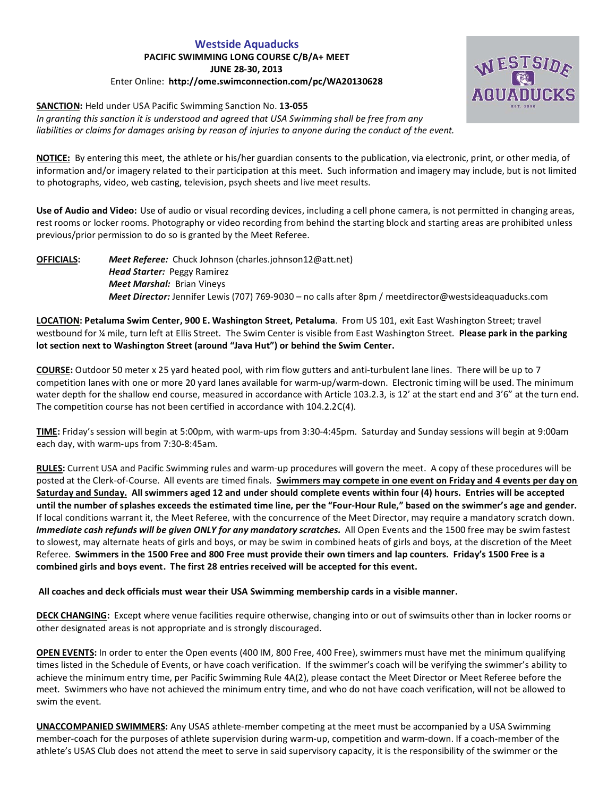# **Westside Aquaducks PACIFIC SWIMMING LONG COURSE C/B/A+ MEET JUNE 28-30, 2013** Enter Online: **http://ome.swimconnection.com/pc/WA20130628**



*In granting this sanction it is understood and agreed that USA Swimming shall be free from any liabilities or claims for damages arising by reason of injuries to anyone during the conduct of the event.*

**NOTICE:** By entering this meet, the athlete or his/her guardian consents to the publication, via electronic, print, or other media, of information and/or imagery related to their participation at this meet. Such information and imagery may include, but is not limited to photographs, video, web casting, television, psych sheets and live meet results.

**Use of Audio and Video:** Use of audio or visual recording devices, including a cell phone camera, is not permitted in changing areas, rest rooms or locker rooms. Photography or video recording from behind the starting block and starting areas are prohibited unless previous/prior permission to do so is granted by the Meet Referee.

# **OFFICIALS:** *Meet Referee:* Chuck Johnson (charles.johnson12@att.net) *Head Starter:* Peggy Ramirez *Meet Marshal:* Brian Vineys *Meet Director:* Jennifer Lewis (707) 769-9030 – no calls after 8pm / meetdirector@westsideaquaducks.com

**LOCATION: Petaluma Swim Center, 900 E. Washington Street, Petaluma**. From US 101, exit East Washington Street; travel westbound for ¼ mile, turn left at Ellis Street. The Swim Center is visible from East Washington Street. **Please park in the parking lot section next to Washington Street (around "Java Hut") or behind the Swim Center.** 

**COURSE:** Outdoor 50 meter x 25 yard heated pool, with rim flow gutters and anti-turbulent lane lines. There will be up to 7 competition lanes with one or more 20 yard lanes available for warm-up/warm-down. Electronic timing will be used. The minimum water depth for the shallow end course, measured in accordance with Article 103.2.3, is 12' at the start end and 3'6" at the turn end. The competition course has not been certified in accordance with 104.2.2C(4).

**TIME:** Friday's session will begin at 5:00pm, with warm-ups from 3:30-4:45pm. Saturday and Sunday sessions will begin at 9:00am each day, with warm-ups from 7:30-8:45am.

**RULES:** Current USA and Pacific Swimming rules and warm-up procedures will govern the meet. A copy of these procedures will be posted at the Clerk-of-Course. All events are timed finals. **Swimmers may compete in one event on Friday and 4 events per day on Saturday and Sunday. All swimmers aged 12 and under should complete events within four (4) hours. Entries will be accepted until the number of splashes exceeds the estimated time line, per the "Four-Hour Rule," based on the swimmer's age and gender.**  If local conditions warrant it, the Meet Referee, with the concurrence of the Meet Director, may require a mandatory scratch down. *Immediate cash refunds will be given ONLY for any mandatory scratches.* All Open Events and the 1500 free may be swim fastest to slowest, may alternate heats of girls and boys, or may be swim in combined heats of girls and boys, at the discretion of the Meet Referee. **Swimmers in the 1500 Free and 800 Free must provide their own timers and lap counters. Friday's 1500 Free is a combined girls and boys event. The first 28 entries received will be accepted for this event.**

## **All coaches and deck officials must wear their USA Swimming membership cards in a visible manner.**

**DECK CHANGING:** Except where venue facilities require otherwise, changing into or out of swimsuits other than in locker rooms or other designated areas is not appropriate and is strongly discouraged.

**OPEN EVENTS:** In order to enter the Open events (400 IM, 800 Free, 400 Free), swimmers must have met the minimum qualifying times listed in the Schedule of Events, or have coach verification. If the swimmer's coach will be verifying the swimmer's ability to achieve the minimum entry time, per Pacific Swimming Rule 4A(2), please contact the Meet Director or Meet Referee before the meet. Swimmers who have not achieved the minimum entry time, and who do not have coach verification, will not be allowed to swim the event.

**UNACCOMPANIED SWIMMERS:** Any USAS athlete-member competing at the meet must be accompanied by a USA Swimming member-coach for the purposes of athlete supervision during warm-up, competition and warm-down. If a coach-member of the athlete's USAS Club does not attend the meet to serve in said supervisory capacity, it is the responsibility of the swimmer or the

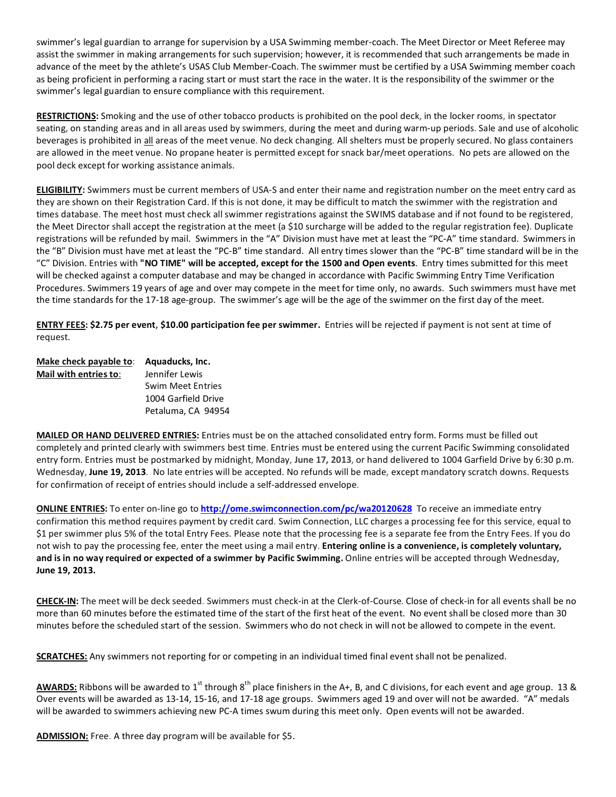swimmer's legal guardian to arrange for supervision by a USA Swimming member-coach. The Meet Director or Meet Referee may assist the swimmer in making arrangements for such supervision; however, it is recommended that such arrangements be made in advance of the meet by the athlete's USAS Club Member-Coach. The swimmer must be certified by a USA Swimming member coach as being proficient in performing a racing start or must start the race in the water. It is the responsibility of the swimmer or the swimmer's legal guardian to ensure compliance with this requirement.

**RESTRICTIONS:** Smoking and the use of other tobacco products is prohibited on the pool deck, in the locker rooms, in spectator seating, on standing areas and in all areas used by swimmers, during the meet and during warm-up periods. Sale and use of alcoholic beverages is prohibited in all areas of the meet venue. No deck changing. All shelters must be properly secured. No glass containers are allowed in the meet venue. No propane heater is permitted except for snack bar/meet operations. No pets are allowed on the pool deck except for working assistance animals.

**ELIGIBILITY:** Swimmers must be current members of USA-S and enter their name and registration number on the meet entry card as they are shown on their Registration Card. If this is not done, it may be difficult to match the swimmer with the registration and times database. The meet host must check all swimmer registrations against the SWIMS database and if not found to be registered, the Meet Director shall accept the registration at the meet (a \$10 surcharge will be added to the regular registration fee). Duplicate registrations will be refunded by mail. Swimmers in the "A" Division must have met at least the "PC-A" time standard. Swimmers in the "B" Division must have met at least the "PC-B" time standard. All entry times slower than the "PC-B" time standard will be in the "C" Division. Entries with **"NO TIME" will be accepted, except for the 1500 and Open events**. Entry times submitted for this meet will be checked against a computer database and may be changed in accordance with Pacific Swimming Entry Time Verification Procedures. Swimmers 19 years of age and over may compete in the meet for time only, no awards. Such swimmers must have met the time standards for the 17-18 age-group. The swimmer's age will be the age of the swimmer on the first day of the meet.

**ENTRY FEES: \$2.75 per event, \$10.00 participation fee per swimmer.** Entries will be rejected if payment is not sent at time of request.

| Make check payable to: | Aquaducks, Inc.          |  |  |  |  |
|------------------------|--------------------------|--|--|--|--|
| Mail with entries to:  | Jennifer Lewis           |  |  |  |  |
|                        | <b>Swim Meet Entries</b> |  |  |  |  |
|                        | 1004 Garfield Drive      |  |  |  |  |
|                        | Petaluma, CA 94954       |  |  |  |  |

**MAILED OR HAND DELIVERED ENTRIES:** Entries must be on the attached consolidated entry form. Forms must be filled out completely and printed clearly with swimmers best time. Entries must be entered using the current Pacific Swimming consolidated entry form. Entries must be postmarked by midnight, Monday, **June 17, 2013**, or hand delivered to 1004 Garfield Drive by 6:30 p.m. Wednesday, **June 19, 2013**. No late entries will be accepted. No refunds will be made, except mandatory scratch downs. Requests for confirmation of receipt of entries should include a self-addressed envelope.

**ONLINE ENTRIES:** To enter on-line go to **<http://ome.swimconnection.com/pc/wa20120628>** To receive an immediate entry confirmation this method requires payment by credit card. Swim Connection, LLC charges a processing fee for this service, equal to \$1 per swimmer plus 5% of the total Entry Fees. Please note that the processing fee is a separate fee from the Entry Fees. If you do not wish to pay the processing fee, enter the meet using a mail entry. **Entering online is a convenience, is completely voluntary, and is in no way required or expected of a swimmer by Pacific Swimming.** Online entries will be accepted through Wednesday, **June 19, 2013.**

**CHECK-IN:** The meet will be deck seeded. Swimmers must check-in at the Clerk-of-Course. Close of check-in for all events shall be no more than 60 minutes before the estimated time of the start of the first heat of the event. No event shall be closed more than 30 minutes before the scheduled start of the session. Swimmers who do not check in will not be allowed to compete in the event.

**SCRATCHES:** Any swimmers not reporting for or competing in an individual timed final event shall not be penalized.

AWARDS: Ribbons will be awarded to 1<sup>st</sup> through 8<sup>th</sup> place finishers in the A+, B, and C divisions, for each event and age group. 13 & Over events will be awarded as 13-14, 15-16, and 17-18 age groups. Swimmers aged 19 and over will not be awarded. "A" medals will be awarded to swimmers achieving new PC-A times swum during this meet only. Open events will not be awarded.

**ADMISSION:** Free. A three day program will be available for \$5.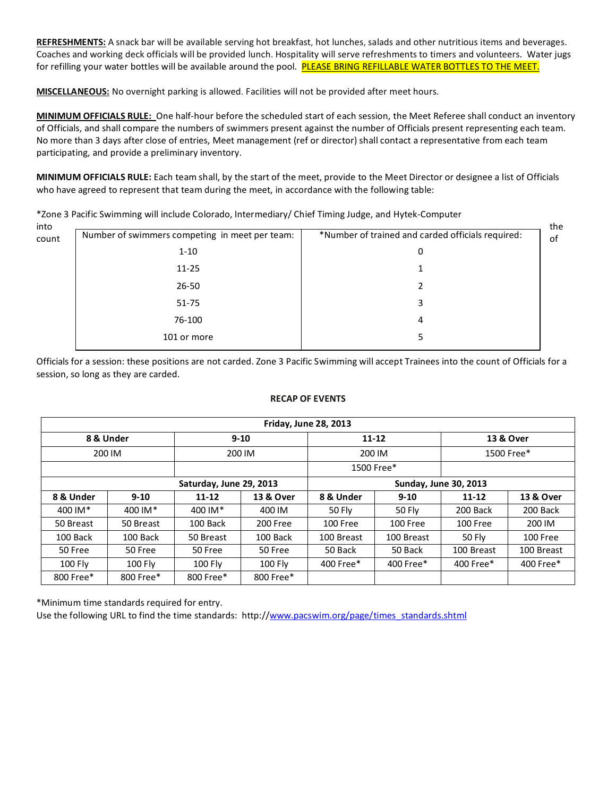**REFRESHMENTS:** A snack bar will be available serving hot breakfast, hot lunches, salads and other nutritious items and beverages. Coaches and working deck officials will be provided lunch. Hospitality will serve refreshments to timers and volunteers. Water jugs for refilling your water bottles will be available around the pool. PLEASE BRING REFILLABLE WATER BOTTLES TO THE MEET.

**MISCELLANEOUS:** No overnight parking is allowed. Facilities will not be provided after meet hours.

**MINIMUM OFFICIALS RULE:** One half-hour before the scheduled start of each session, the Meet Referee shall conduct an inventory of Officials, and shall compare the numbers of swimmers present against the number of Officials present representing each team. No more than 3 days after close of entries, Meet management (ref or director) shall contact a representative from each team participating, and provide a preliminary inventory.

**MINIMUM OFFICIALS RULE:** Each team shall, by the start of the meet, provide to the Meet Director or designee a list of Officials who have agreed to represent that team during the meet, in accordance with the following table:

| into  |                                                |                                                   | the |
|-------|------------------------------------------------|---------------------------------------------------|-----|
| count | Number of swimmers competing in meet per team: | *Number of trained and carded officials required: | of  |
|       | $1 - 10$                                       | 0                                                 |     |
|       | $11 - 25$                                      |                                                   |     |
|       | $26 - 50$                                      |                                                   |     |
|       | $51 - 75$                                      | 3                                                 |     |
|       | 76-100                                         | 4                                                 |     |
|       | 101 or more                                    |                                                   |     |
|       |                                                |                                                   |     |

\*Zone 3 Pacific Swimming will include Colorado, Intermediary/ Chief Timing Judge, and Hytek-Computer

Officials for a session: these positions are not carded. Zone 3 Pacific Swimming will accept Trainees into the count of Officials for a session, so long as they are carded.

#### **RECAP OF EVENTS**

| <b>Friday, June 28, 2013</b> |                |                         |           |                              |                |            |            |  |  |
|------------------------------|----------------|-------------------------|-----------|------------------------------|----------------|------------|------------|--|--|
|                              | 8 & Under      |                         | $9 - 10$  |                              | $11 - 12$      | 13 & Over  |            |  |  |
|                              | 200 IM         | 200 IM                  |           | 200 IM                       |                | 1500 Free* |            |  |  |
|                              |                |                         |           |                              | 1500 Free*     |            |            |  |  |
|                              |                | Saturday, June 29, 2013 |           | <b>Sunday, June 30, 2013</b> |                |            |            |  |  |
| 8 & Under                    | $9 - 10$       | $11 - 12$               | 13 & Over | 8 & Under                    | $9 - 10$       | $11 - 12$  | 13 & Over  |  |  |
| 400 IM*                      | 400 IM*        | 400 IM*                 | 400 IM    | <b>50 Flv</b>                | <b>50 Flv</b>  | 200 Back   | 200 Back   |  |  |
| 50 Breast                    | 50 Breast      | 100 Back                | 200 Free  | 100 Free                     | 100 Free       | 100 Free   | 200 IM     |  |  |
| 100 Back                     | 100 Back       | 50 Breast               | 100 Back  | 100 Breast                   | 100 Breast     | 50 Fly     | 100 Free   |  |  |
| 50 Free                      | 50 Free        | 50 Free                 | 50 Free   | 50 Back<br>50 Back           |                | 100 Breast | 100 Breast |  |  |
| 100 Fly                      | <b>100 Fly</b> | 100 Fly                 | 100 Flv   | $400$ Free $*$               | $400$ Free $*$ |            | 400 Free*  |  |  |
| 800 Free*                    | 800 Free*      | 800 Free*               | 800 Free* |                              |                |            |            |  |  |

\*Minimum time standards required for entry.

Use the following URL to find the time standards: http:/[/www.pacswim.org/page/times\\_standards.shtml](http://www.pacswim.org/page/times_standards.shtml)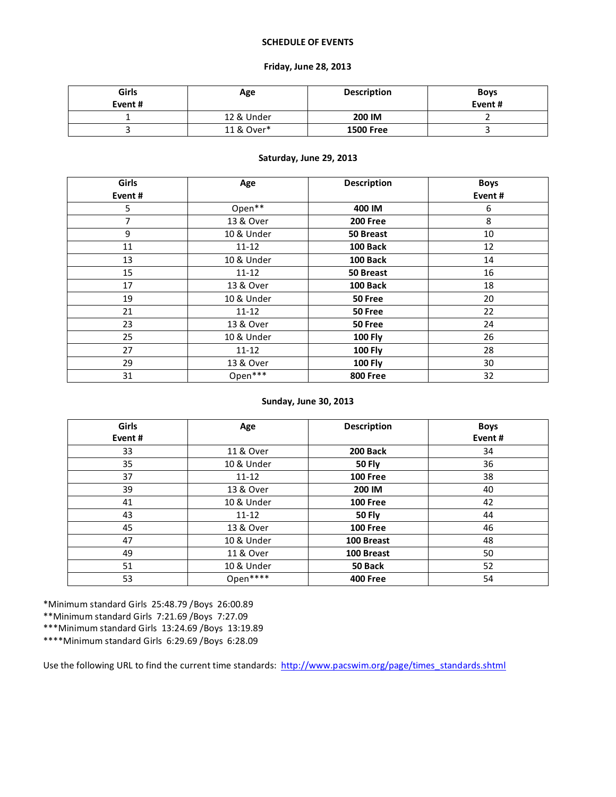### **SCHEDULE OF EVENTS**

### **Friday, June 28, 2013**

| Girls<br>Event# | Age        | <b>Description</b> | <b>Boys</b><br>Event# |
|-----------------|------------|--------------------|-----------------------|
|                 | 12 & Under | 200 IM             |                       |
|                 | 11 & Over* | <b>1500 Free</b>   |                       |

## **Saturday, June 29, 2013**

| Girls  | Age        | <b>Description</b> | <b>Boys</b> |
|--------|------------|--------------------|-------------|
| Event# |            |                    | Event#      |
| 5      | Open**     | 400 IM             | 6           |
| 7      | 13 & Over  | <b>200 Free</b>    | 8           |
| 9      | 10 & Under | 50 Breast          | 10          |
| 11     | $11 - 12$  | 100 Back           | 12          |
| 13     | 10 & Under | 100 Back           | 14          |
| 15     | $11 - 12$  | 50 Breast          | 16          |
| 17     | 13 & Over  | 100 Back           | 18          |
| 19     | 10 & Under | 50 Free            | 20          |
| 21     | $11 - 12$  | 50 Free            | 22          |
| 23     | 13 & Over  | 50 Free            | 24          |
| 25     | 10 & Under | <b>100 Fly</b>     | 26          |
| 27     | $11 - 12$  | <b>100 Fly</b>     | 28          |
| 29     | 13 & Over  | <b>100 Fly</b>     | 30          |
| 31     | Open***    | <b>800 Free</b>    | 32          |

## **Sunday, June 30, 2013**

| <b>Girls</b> | Age        | <b>Description</b> | <b>Boys</b> |  |  |
|--------------|------------|--------------------|-------------|--|--|
| Event#       |            |                    | Event#      |  |  |
| 33           | 11 & Over  | 200 Back           | 34          |  |  |
| 35           | 10 & Under | 50 Fly             | 36          |  |  |
| 37           | $11 - 12$  | <b>100 Free</b>    | 38          |  |  |
| 39           | 13 & Over  | 200 IM             | 40          |  |  |
| 41           | 10 & Under | <b>100 Free</b>    | 42          |  |  |
| 43           | $11 - 12$  | <b>50 Fly</b>      | 44          |  |  |
| 45           | 13 & Over  | <b>100 Free</b>    | 46          |  |  |
| 47           | 10 & Under | 100 Breast         | 48          |  |  |
| 49           | 11 & Over  | 100 Breast         | 50          |  |  |
| 51           | 10 & Under | 50 Back            | 52          |  |  |
| 53           | Open****   | <b>400 Free</b>    | 54          |  |  |
|              |            |                    |             |  |  |

\*Minimum standard Girls 25:48.79 /Boys 26:00.89

\*\*Minimum standard Girls 7:21.69 /Boys 7:27.09

\*\*\*Minimum standard Girls 13:24.69 /Boys 13:19.89

\*\*\*\*Minimum standard Girls 6:29.69 /Boys 6:28.09

Use the following URL to find the current time standards: [http://www.pacswim.org/page/times\\_standards.shtml](http://www.pacswim.org/page/times_standards.shtml)